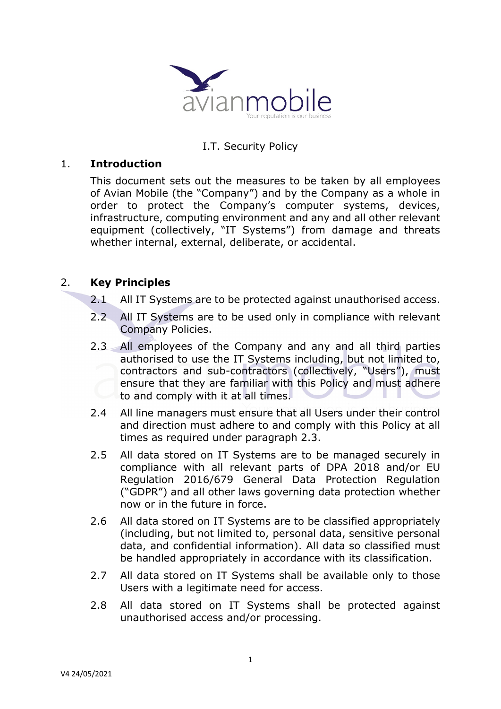

# I.T. Security Policy

#### 1. **Introduction**

This document sets out the measures to be taken by all employees of Avian Mobile (the "Company") and by the Company as a whole in order to protect the Company's computer systems, devices, infrastructure, computing environment and any and all other relevant equipment (collectively, "IT Systems") from damage and threats whether internal, external, deliberate, or accidental.

## 2. **Key Principles**

- 2.1 All IT Systems are to be protected against unauthorised access.
- 2.2 All IT Systems are to be used only in compliance with relevant Company Policies.
- 2.3 All employees of the Company and any and all third parties authorised to use the IT Systems including, but not limited to, contractors and sub-contractors (collectively, "Users"), must ensure that they are familiar with this Policy and must adhere to and comply with it at all times.
- 2.4 All line managers must ensure that all Users under their control and direction must adhere to and comply with this Policy at all times as required under paragraph 2.3.
- 2.5 All data stored on IT Systems are to be managed securely in compliance with all relevant parts of DPA 2018 and/or EU Regulation 2016/679 General Data Protection Regulation ("GDPR") and all other laws governing data protection whether now or in the future in force.
- 2.6 All data stored on IT Systems are to be classified appropriately (including, but not limited to, personal data, sensitive personal data, and confidential information). All data so classified must be handled appropriately in accordance with its classification.
- 2.7 All data stored on IT Systems shall be available only to those Users with a legitimate need for access.
- 2.8 All data stored on IT Systems shall be protected against unauthorised access and/or processing.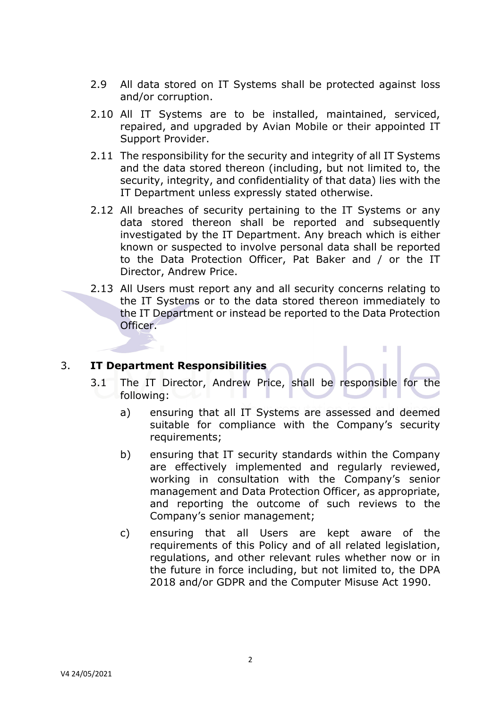- 2.9 All data stored on IT Systems shall be protected against loss and/or corruption.
- 2.10 All IT Systems are to be installed, maintained, serviced, repaired, and upgraded by Avian Mobile or their appointed IT Support Provider.
- 2.11 The responsibility for the security and integrity of all IT Systems and the data stored thereon (including, but not limited to, the security, integrity, and confidentiality of that data) lies with the IT Department unless expressly stated otherwise.
- 2.12 All breaches of security pertaining to the IT Systems or any data stored thereon shall be reported and subsequently investigated by the IT Department. Any breach which is either known or suspected to involve personal data shall be reported to the Data Protection Officer, Pat Baker and / or the IT Director, Andrew Price.
- 2.13 All Users must report any and all security concerns relating to the IT Systems or to the data stored thereon immediately to the IT Department or instead be reported to the Data Protection Officer.

### 3. **IT Department Responsibilities**

- 3.1 The IT Director, Andrew Price, shall be responsible for the following:
	- a) ensuring that all IT Systems are assessed and deemed suitable for compliance with the Company's security requirements;

I.

- b) ensuring that IT security standards within the Company are effectively implemented and regularly reviewed, working in consultation with the Company's senior management and Data Protection Officer, as appropriate, and reporting the outcome of such reviews to the Company's senior management;
- c) ensuring that all Users are kept aware of the requirements of this Policy and of all related legislation, regulations, and other relevant rules whether now or in the future in force including, but not limited to, the DPA 2018 and/or GDPR and the Computer Misuse Act 1990.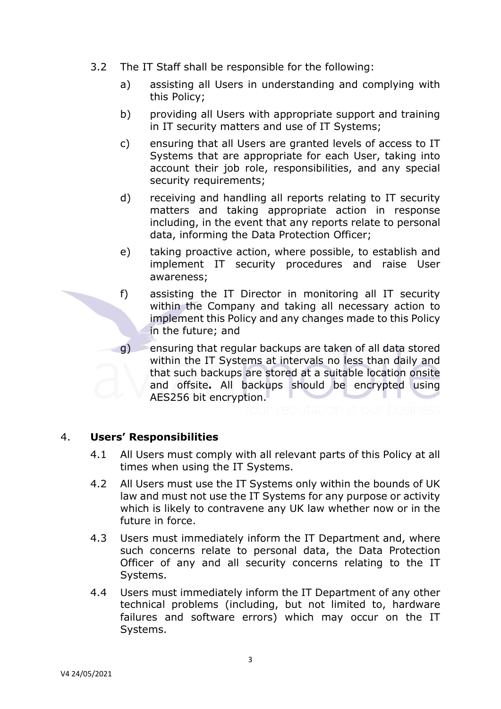- 3.2 The IT Staff shall be responsible for the following:
	- a) assisting all Users in understanding and complying with this Policy;
	- b) providing all Users with appropriate support and training in IT security matters and use of IT Systems;
	- c) ensuring that all Users are granted levels of access to IT Systems that are appropriate for each User, taking into account their job role, responsibilities, and any special security requirements;
	- d) receiving and handling all reports relating to IT security matters and taking appropriate action in response including, in the event that any reports relate to personal data, informing the Data Protection Officer;
	- e) taking proactive action, where possible, to establish and implement IT security procedures and raise User awareness;
	- f) assisting the IT Director in monitoring all IT security within the Company and taking all necessary action to implement this Policy and any changes made to this Policy in the future; and
	- g) ensuring that regular backups are taken of all data stored within the IT Systems at intervals no less than daily and that such backups are stored at a suitable location onsite and offsite**.** All backups should be encrypted using AES256 bit encryption.

4. **Users' Responsibilities** 

- 4.1 All Users must comply with all relevant parts of this Policy at all times when using the IT Systems.
- 4.2 All Users must use the IT Systems only within the bounds of UK law and must not use the IT Systems for any purpose or activity which is likely to contravene any UK law whether now or in the future in force.
- 4.3 Users must immediately inform the IT Department and, where such concerns relate to personal data, the Data Protection Officer of any and all security concerns relating to the IT Systems.
- 4.4 Users must immediately inform the IT Department of any other technical problems (including, but not limited to, hardware failures and software errors) which may occur on the IT Systems.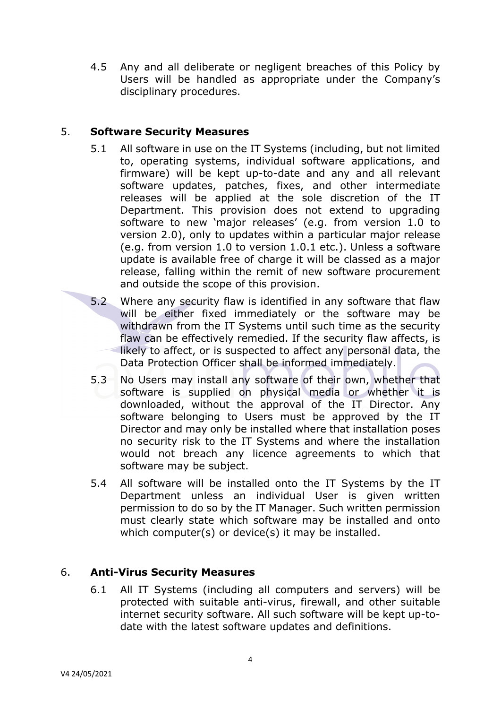4.5 Any and all deliberate or negligent breaches of this Policy by Users will be handled as appropriate under the Company's disciplinary procedures.

## 5. **Software Security Measures**

- 5.1 All software in use on the IT Systems (including, but not limited to, operating systems, individual software applications, and firmware) will be kept up-to-date and any and all relevant software updates, patches, fixes, and other intermediate releases will be applied at the sole discretion of the IT Department. This provision does not extend to upgrading software to new 'major releases' (e.g. from version 1.0 to version 2.0), only to updates within a particular major release (e.g. from version 1.0 to version 1.0.1 etc.). Unless a software update is available free of charge it will be classed as a major release, falling within the remit of new software procurement and outside the scope of this provision.
- 5.2 Where any security flaw is identified in any software that flaw will be either fixed immediately or the software may be withdrawn from the IT Systems until such time as the security flaw can be effectively remedied. If the security flaw affects, is likely to affect, or is suspected to affect any personal data, the Data Protection Officer shall be informed immediately.
- 5.3 No Users may install any software of their own, whether that software is supplied on physical media or whether it is downloaded, without the approval of the IT Director. Any software belonging to Users must be approved by the IT Director and may only be installed where that installation poses no security risk to the IT Systems and where the installation would not breach any licence agreements to which that software may be subject.
- 5.4 All software will be installed onto the IT Systems by the IT Department unless an individual User is given written permission to do so by the IT Manager. Such written permission must clearly state which software may be installed and onto which computer(s) or device(s) it may be installed.

# 6. **Anti-Virus Security Measures**

6.1 All IT Systems (including all computers and servers) will be protected with suitable anti-virus, firewall, and other suitable internet security software. All such software will be kept up-todate with the latest software updates and definitions.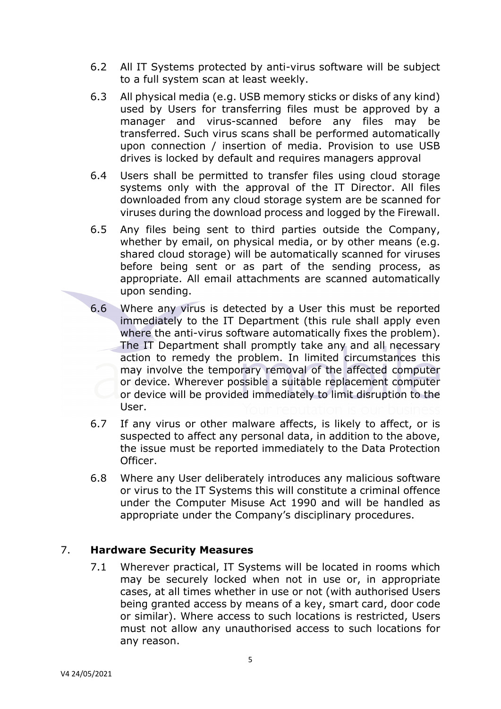- 6.2 All IT Systems protected by anti-virus software will be subject to a full system scan at least weekly.
- 6.3 All physical media (e.g. USB memory sticks or disks of any kind) used by Users for transferring files must be approved by a manager and virus-scanned before any files may be transferred. Such virus scans shall be performed automatically upon connection / insertion of media. Provision to use USB drives is locked by default and requires managers approval
- 6.4 Users shall be permitted to transfer files using cloud storage systems only with the approval of the IT Director. All files downloaded from any cloud storage system are be scanned for viruses during the download process and logged by the Firewall.
- 6.5 Any files being sent to third parties outside the Company, whether by email, on physical media, or by other means (e.g. shared cloud storage) will be automatically scanned for viruses before being sent or as part of the sending process, as appropriate. All email attachments are scanned automatically upon sending.
- 6.6 Where any virus is detected by a User this must be reported immediately to the IT Department (this rule shall apply even where the anti-virus software automatically fixes the problem). The IT Department shall promptly take any and all necessary action to remedy the problem. In limited circumstances this may involve the temporary removal of the affected computer or device. Wherever possible a suitable replacement computer or device will be provided immediately to limit disruption to the User.
- 6.7 If any virus or other malware affects, is likely to affect, or is suspected to affect any personal data, in addition to the above, the issue must be reported immediately to the Data Protection Officer.
- 6.8 Where any User deliberately introduces any malicious software or virus to the IT Systems this will constitute a criminal offence under the Computer Misuse Act 1990 and will be handled as appropriate under the Company's disciplinary procedures.

### 7. **Hardware Security Measures**

7.1 Wherever practical, IT Systems will be located in rooms which may be securely locked when not in use or, in appropriate cases, at all times whether in use or not (with authorised Users being granted access by means of a key, smart card, door code or similar). Where access to such locations is restricted, Users must not allow any unauthorised access to such locations for any reason.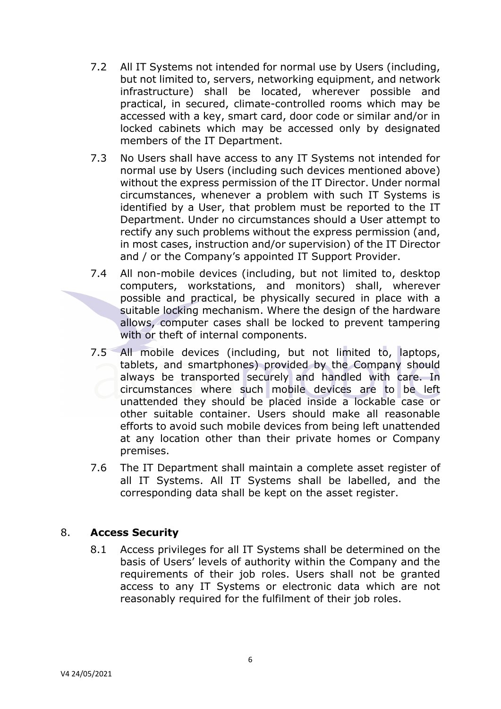- 7.2 All IT Systems not intended for normal use by Users (including, but not limited to, servers, networking equipment, and network infrastructure) shall be located, wherever possible and practical, in secured, climate-controlled rooms which may be accessed with a key, smart card, door code or similar and/or in locked cabinets which may be accessed only by designated members of the IT Department.
- 7.3 No Users shall have access to any IT Systems not intended for normal use by Users (including such devices mentioned above) without the express permission of the IT Director. Under normal circumstances, whenever a problem with such IT Systems is identified by a User, that problem must be reported to the IT Department. Under no circumstances should a User attempt to rectify any such problems without the express permission (and, in most cases, instruction and/or supervision) of the IT Director and / or the Company's appointed IT Support Provider.
- 7.4 All non-mobile devices (including, but not limited to, desktop computers, workstations, and monitors) shall, wherever possible and practical, be physically secured in place with a suitable locking mechanism. Where the design of the hardware allows, computer cases shall be locked to prevent tampering with or theft of internal components.
- 7.5 All mobile devices (including, but not limited to, laptops, tablets, and smartphones) provided by the Company should always be transported securely and handled with care. In circumstances where such mobile devices are to be left unattended they should be placed inside a lockable case or other suitable container. Users should make all reasonable efforts to avoid such mobile devices from being left unattended at any location other than their private homes or Company premises.
- 7.6 The IT Department shall maintain a complete asset register of all IT Systems. All IT Systems shall be labelled, and the corresponding data shall be kept on the asset register.

# 8. **Access Security**

8.1 Access privileges for all IT Systems shall be determined on the basis of Users' levels of authority within the Company and the requirements of their job roles. Users shall not be granted access to any IT Systems or electronic data which are not reasonably required for the fulfilment of their job roles.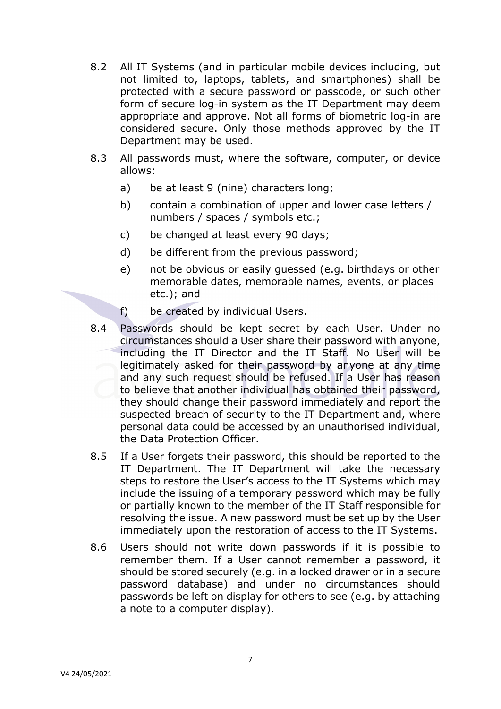- 8.2 All IT Systems (and in particular mobile devices including, but not limited to, laptops, tablets, and smartphones) shall be protected with a secure password or passcode, or such other form of secure log-in system as the IT Department may deem appropriate and approve. Not all forms of biometric log-in are considered secure. Only those methods approved by the IT Department may be used.
- 8.3 All passwords must, where the software, computer, or device allows:
	- a) be at least 9 (nine) characters long;
	- b) contain a combination of upper and lower case letters / numbers / spaces / symbols etc.;
	- c) be changed at least every 90 days;
	- d) be different from the previous password;
	- e) not be obvious or easily guessed (e.g. birthdays or other memorable dates, memorable names, events, or places etc.); and
	- f) be created by individual Users.
- 8.4 Passwords should be kept secret by each User. Under no circumstances should a User share their password with anyone, including the IT Director and the IT Staff. No User will be legitimately asked for their password by anyone at any time and any such request should be refused. If a User has reason to believe that another individual has obtained their password, they should change their password immediately and report the suspected breach of security to the IT Department and, where personal data could be accessed by an unauthorised individual, the Data Protection Officer.
- 8.5 If a User forgets their password, this should be reported to the IT Department. The IT Department will take the necessary steps to restore the User's access to the IT Systems which may include the issuing of a temporary password which may be fully or partially known to the member of the IT Staff responsible for resolving the issue. A new password must be set up by the User immediately upon the restoration of access to the IT Systems.
- 8.6 Users should not write down passwords if it is possible to remember them. If a User cannot remember a password, it should be stored securely (e.g. in a locked drawer or in a secure password database) and under no circumstances should passwords be left on display for others to see (e.g. by attaching a note to a computer display).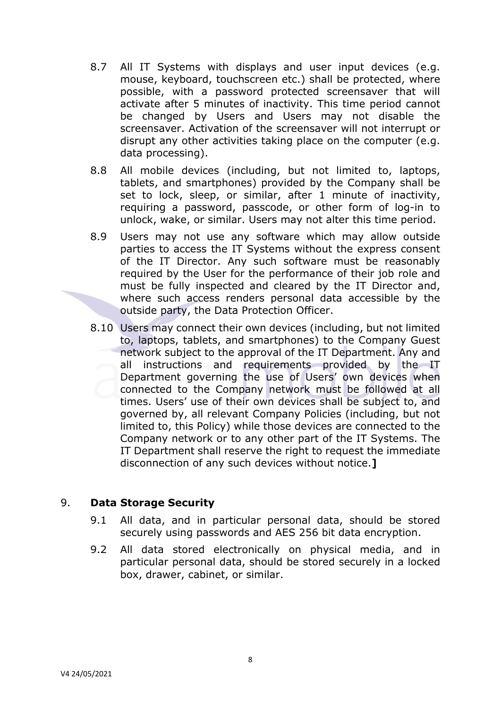- 8.7 All IT Systems with displays and user input devices (e.g. mouse, keyboard, touchscreen etc.) shall be protected, where possible, with a password protected screensaver that will activate after 5 minutes of inactivity. This time period cannot be changed by Users and Users may not disable the screensaver. Activation of the screensaver will not interrupt or disrupt any other activities taking place on the computer (e.g. data processing).
- 8.8 All mobile devices (including, but not limited to, laptops, tablets, and smartphones) provided by the Company shall be set to lock, sleep, or similar, after 1 minute of inactivity, requiring a password, passcode, or other form of log-in to unlock, wake, or similar. Users may not alter this time period.
- 8.9 Users may not use any software which may allow outside parties to access the IT Systems without the express consent of the IT Director. Any such software must be reasonably required by the User for the performance of their job role and must be fully inspected and cleared by the IT Director and, where such access renders personal data accessible by the outside party, the Data Protection Officer.
- 8.10 Users may connect their own devices (including, but not limited to, laptops, tablets, and smartphones) to the Company Guest network subject to the approval of the IT Department. Any and all instructions and requirements provided by the IT Department governing the use of Users' own devices when connected to the Company network must be followed at all times. Users' use of their own devices shall be subject to, and governed by, all relevant Company Policies (including, but not limited to, this Policy) while those devices are connected to the Company network or to any other part of the IT Systems. The IT Department shall reserve the right to request the immediate disconnection of any such devices without notice.**]**

### 9. **Data Storage Security**

- 9.1 All data, and in particular personal data, should be stored securely using passwords and AES 256 bit data encryption.
- 9.2 All data stored electronically on physical media, and in particular personal data, should be stored securely in a locked box, drawer, cabinet, or similar.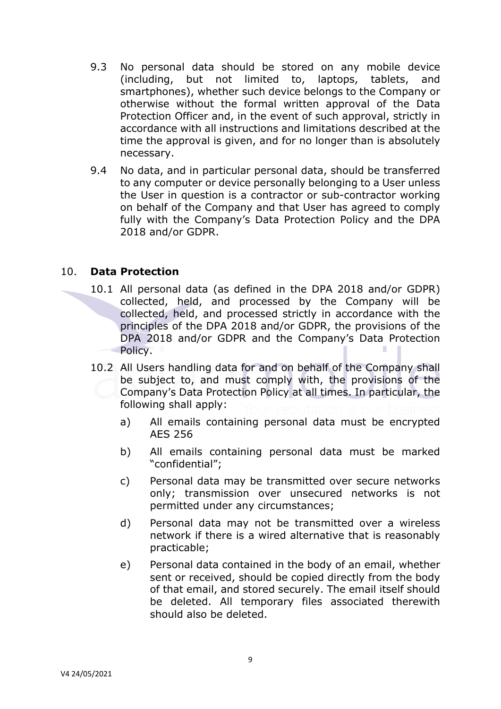- 9.3 No personal data should be stored on any mobile device (including, but not limited to, laptops, tablets, and smartphones), whether such device belongs to the Company or otherwise without the formal written approval of the Data Protection Officer and, in the event of such approval, strictly in accordance with all instructions and limitations described at the time the approval is given, and for no longer than is absolutely necessary.
- 9.4 No data, and in particular personal data, should be transferred to any computer or device personally belonging to a User unless the User in question is a contractor or sub-contractor working on behalf of the Company and that User has agreed to comply fully with the Company's Data Protection Policy and the DPA 2018 and/or GDPR.

#### 10. **Data Protection**

- 10.1 All personal data (as defined in the DPA 2018 and/or GDPR) collected, held, and processed by the Company will be collected, held, and processed strictly in accordance with the principles of the DPA 2018 and/or GDPR, the provisions of the DPA 2018 and/or GDPR and the Company's Data Protection Policy.
	- 10.2 All Users handling data for and on behalf of the Company shall be subject to, and must comply with, the provisions of the Company's Data Protection Policy at all times. In particular, the following shall apply:
		- a) All emails containing personal data must be encrypted AES 256
		- b) All emails containing personal data must be marked "confidential";
		- c) Personal data may be transmitted over secure networks only; transmission over unsecured networks is not permitted under any circumstances;
		- d) Personal data may not be transmitted over a wireless network if there is a wired alternative that is reasonably practicable;
		- e) Personal data contained in the body of an email, whether sent or received, should be copied directly from the body of that email, and stored securely. The email itself should be deleted. All temporary files associated therewith should also be deleted.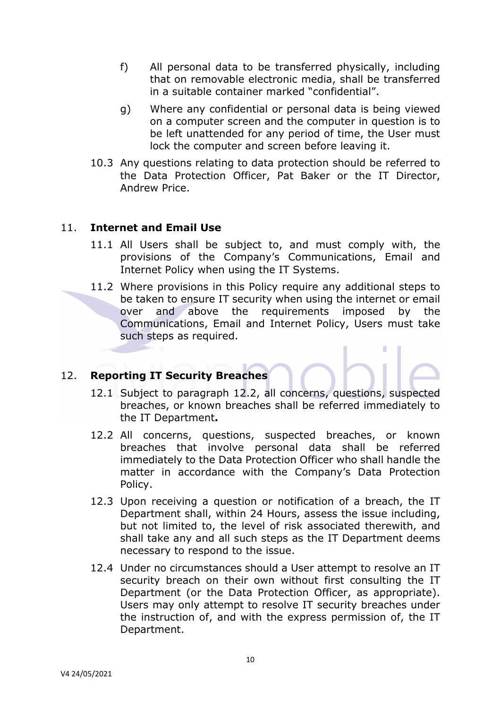- f) All personal data to be transferred physically, including that on removable electronic media, shall be transferred in a suitable container marked "confidential".
- g) Where any confidential or personal data is being viewed on a computer screen and the computer in question is to be left unattended for any period of time, the User must lock the computer and screen before leaving it.
- 10.3 Any questions relating to data protection should be referred to the Data Protection Officer, Pat Baker or the IT Director, Andrew Price.

### 11. **Internet and Email Use**

- 11.1 All Users shall be subject to, and must comply with, the provisions of the Company's Communications, Email and Internet Policy when using the IT Systems.
- 11.2 Where provisions in this Policy require any additional steps to be taken to ensure IT security when using the internet or email over and above the requirements imposed by the Communications, Email and Internet Policy, Users must take such steps as required.

# 12. **Reporting IT Security Breaches**

- 12.1 Subject to paragraph 12.2, all concerns, questions, suspected breaches, or known breaches shall be referred immediately to the IT Department**.**
- 12.2 All concerns, questions, suspected breaches, or known breaches that involve personal data shall be referred immediately to the Data Protection Officer who shall handle the matter in accordance with the Company's Data Protection Policy.
- 12.3 Upon receiving a question or notification of a breach, the IT Department shall, within 24 Hours, assess the issue including, but not limited to, the level of risk associated therewith, and shall take any and all such steps as the IT Department deems necessary to respond to the issue.
- 12.4 Under no circumstances should a User attempt to resolve an IT security breach on their own without first consulting the IT Department (or the Data Protection Officer, as appropriate). Users may only attempt to resolve IT security breaches under the instruction of, and with the express permission of, the IT Department.